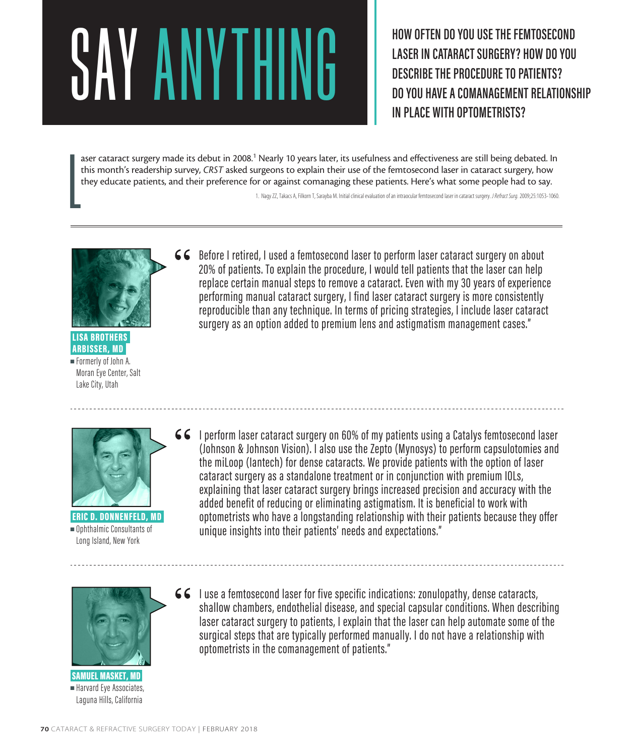## ESCRIBE THE TEMTOSECOND CASER IN CATARACT SURGERY? HOW DO YOU<br>DESCRIBE THE PROCEDURE TO PATIENTS?<br>DO YOU HAVE A COMANAGEMENT RELATIONS

**LASER IN CATARACT SURGERY? HOW DO YOU DESCRIBE THE PROCEDURE TO PATIENTS? DO YOU HAVE A COMANAGEMENT RELATIONSHIP IN PLACE WITH OPTOMETRISTS?**

 $\begin{array}{c} \hline \end{array}$ aser cataract surgery made its debut in 2008.<sup>1</sup> Nearly 10 years later, its usefulness and effectiveness are still being debated. In this month's readership survey, *CRST* asked surgeons to explain their use of the femtosecond laser in cataract surgery, how they educate patients, and their preference for or against comanaging these patients. Here's what some people had to say.

1. Nagy ZZ, Takacs A, Filkorn T, Sarayba M. Initial clinical evaluation of an intraocular femtosecond laser in cataract surgery. *J Refract Surg.* 2009;25:1053-1060.



 LISA BROTHERS ARBISSER, MD <sup>n</sup> Formerly of John A. Moran Eye Center, Salt Lake City, Utah

66 Before I retired, I used a femtosecond laser to perform laser cataract surgery on about 20% of patients. To explain the procedure, I would tell patients that the laser can help replace certain manual steps to remove a cataract. Even with my 30 years of experience performing manual cataract surgery, I find laser cataract surgery is more consistently reproducible than any technique. In terms of pricing strategies, I include laser cataract surgery as an option added to premium lens and astigmatism management cases."



 ERIC D. DONNENFELD, MD  $\blacksquare$  Ophthalmic Consultants of Long Island, New York

I perform laser cataract surgery on 60% of my patients using a Catalys femtosecond laser (Johnson & Johnson Vision). I also use the Zepto (Mynosys) to perform capsulotomies and the miLoop (Iantech) for dense cataracts. We provide patients with the option of laser cataract surgery as a standalone treatment or in conjunction with premium IOLs, explaining that laser cataract surgery brings increased precision and accuracy with the added benefit of reducing or eliminating astigmatism. It is beneficial to work with optometrists who have a longstanding relationship with their patients because they offer unique insights into their patients' needs and expectations."



 SAMUEL MASKET, MD Harvard Eye Associates, Laguna Hills, California

66 I use a femtosecond laser for five specific indications: zonulopathy, dense cataracts, shallow chambers, endothelial disease, and special capsular conditions. When describing laser cataract surgery to patients, I explain that the laser can help automate some of the surgical steps that are typically performed manually. I do not have a relationship with optometrists in the comanagement of patients."